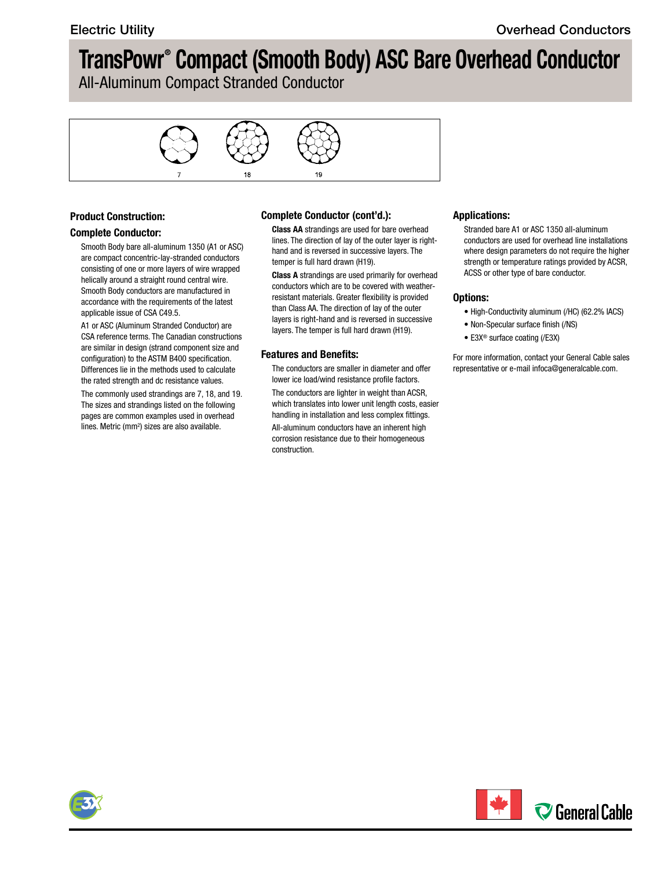## **TransPowr® Compact (Smooth Body) ASC Bare Overhead Conductor**

All-Aluminum Compact Stranded Conductor



#### **Product Construction:**

#### **Complete Conductor:**

Smooth Body bare all-aluminum 1350 (A1 or ASC) are compact concentric-lay-stranded conductors consisting of one or more layers of wire wrapped helically around a straight round central wire. Smooth Body conductors are manufactured in accordance with the requirements of the latest applicable issue of CSA C49.5.

A1 or ASC (Aluminum Stranded Conductor) are CSA reference terms. The Canadian constructions are similar in design (strand component size and configuration) to the ASTM B400 specification. Differences lie in the methods used to calculate the rated strength and dc resistance values.

The commonly used strandings are 7, 18, and 19. The sizes and strandings listed on the following pages are common examples used in overhead lines. Metric (mm<sup>2</sup>) sizes are also available.

#### **Complete Conductor (cont'd.):**

**Class AA** strandings are used for bare overhead lines. The direction of lay of the outer layer is righthand and is reversed in successive layers. The temper is full hard drawn (H19).

**Class A** strandings are used primarily for overhead conductors which are to be covered with weatherresistant materials. Greater flexibility is provided than Class AA. The direction of lay of the outer layers is right-hand and is reversed in successive layers. The temper is full hard drawn (H19).

#### **Features and Benefits:**

The conductors are smaller in diameter and offer lower ice load/wind resistance profile factors. The conductors are lighter in weight than ACSR, which translates into lower unit length costs, easier handling in installation and less complex fittings. All-aluminum conductors have an inherent high corrosion resistance due to their homogeneous construction.

#### **Applications:**

Stranded bare A1 or ASC 1350 all-aluminum conductors are used for overhead line installations where design parameters do not require the higher strength or temperature ratings provided by ACSR, ACSS or other type of bare conductor.

#### **Options:**

- High-Conductivity aluminum (/HC) (62.2% IACS)
- Non-Specular surface finish (/NS)
- E3X® surface coating (/E3X)

For more information, contact your General Cable sales representative or e-mail [infoca@generalcable.com.](mailto:infoca@generalcable.com)



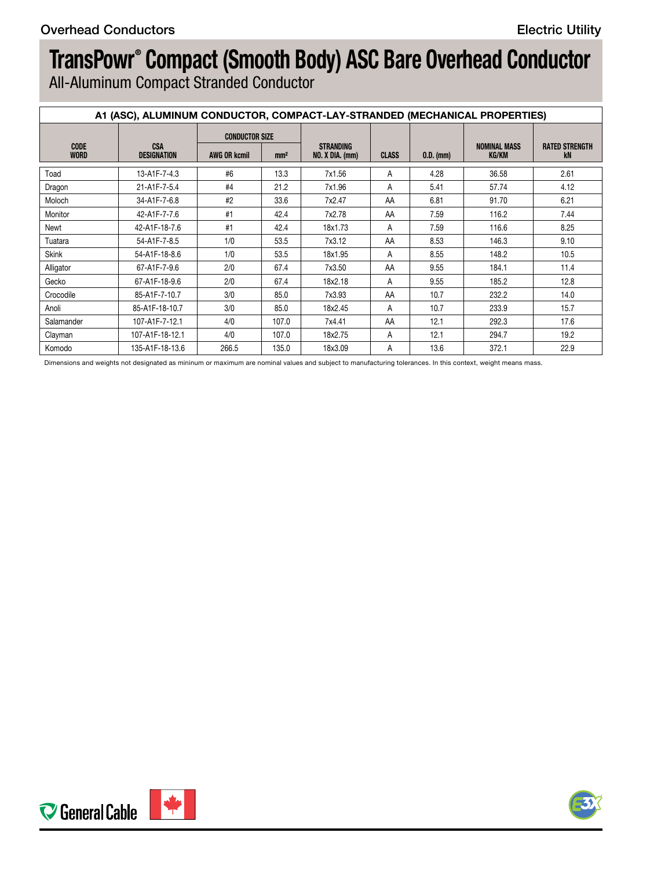# **TransPowr® Compact (Smooth Body) ASC Bare Overhead Conductor**

All-Aluminum Compact Stranded Conductor

|                     | A1 (ASC), ALUMINUM CONDUCTOR, COMPACT-LAY-STRANDED (MECHANICAL PROPERTIES) |                       |                 |                                     |              |             |                              |                             |
|---------------------|----------------------------------------------------------------------------|-----------------------|-----------------|-------------------------------------|--------------|-------------|------------------------------|-----------------------------|
| CODE<br><b>WORD</b> | <b>CSA</b><br><b>DESIGNATION</b>                                           | <b>CONDUCTOR SIZE</b> |                 |                                     |              |             |                              |                             |
|                     |                                                                            | AWG OR kcmil          | mm <sup>2</sup> | STRANDING<br><b>NO. X DIA. (mm)</b> | <b>CLASS</b> | $0.D.$ (mm) | <b>NOMINAL MASS</b><br>KG/KM | <b>RATED STRENGTH</b><br>kN |
| Toad                | 13-A1F-7-4.3                                                               | #6                    | 13.3            | 7x1.56                              |              | 4.28        | 36.58                        | 2.61                        |
| Dragon              | 21-A1F-7-5.4                                                               | #4                    | 21.2            | 7x1.96                              |              | 5.41        | 57.74                        | 4.12                        |
| Moloch              | 34-A1F-7-6.8                                                               | #2                    | 33.6            | 7x2.47                              | AA           | 6.81        | 91.70                        | 6.21                        |
| Monitor             | 42-A1F-7-7.6                                                               | #1                    | 42.4            | 7x2.78                              | AA           | 7.59        | 116.2                        | 7.44                        |
| Newt                | 42-A1F-18-7.6                                                              | #1                    | 42.4            | 18x1.73                             |              | 7.59        | 116.6                        | 8.25                        |
| Tuatara             | 54-A1F-7-8.5                                                               | 1/0                   | 53.5            | 7x3.12                              | AA           | 8.53        | 146.3                        | 9.10                        |
| Skink               | 54-A1F-18-8.6                                                              | 1/0                   | 53.5            | 18x1.95                             |              | 8.55        | 148.2                        | 10.5                        |
| Alligator           | 67-A1F-7-9.6                                                               | 2/0                   | 67.4            | 7x3.50                              | AA           | 9.55        | 184.1                        | 11.4                        |
| Gecko               | 67-A1F-18-9.6                                                              | 2/0                   | 67.4            | 18x2.18                             |              | 9.55        | 185.2                        | 12.8                        |
| Crocodile           | 85-A1F-7-10.7                                                              | 3/0                   | 85.0            | 7x3.93                              | AA           | 10.7        | 232.2                        | 14.0                        |
| Anoli               | 85-A1F-18-10.7                                                             | 3/0                   | 85.0            | 18x2.45                             |              | 10.7        | 233.9                        | 15.7                        |
| Salamander          | 107-A1F-7-12.1                                                             | 4/0                   | 107.0           | 7x4.41                              | AA           | 12.1        | 292.3                        | 17.6                        |
| Clayman             | 107-A1F-18-12.1                                                            | 4/0                   | 107.0           | 18x2.75                             |              | 12.1        | 294.7                        | 19.2                        |
| Komodo              | 135-A1F-18-13.6                                                            | 266.5                 | 135.0           | 18x3.09                             |              | 13.6        | 372.1                        | 22.9                        |

Dimensions and weights not designated as mininum or maximum are nominal values and subject to manufacturing tolerances. In this context, weight means mass.